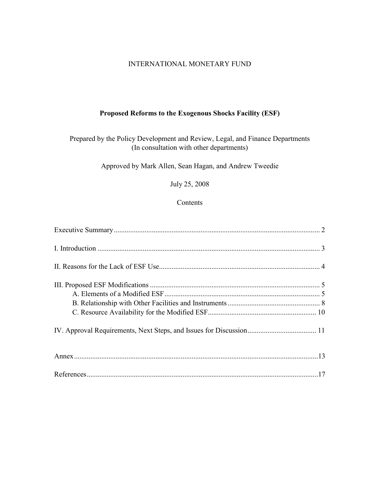#### INTERNATIONAL MONETARY FUND

#### **Proposed Reforms to the Exogenous Shocks Facility (ESF)**

Prepared by the Policy Development and Review, Legal, and Finance Departments (In consultation with other departments)

Approved by Mark Allen, Sean Hagan, and Andrew Tweedie

July 25, 2008

#### Contents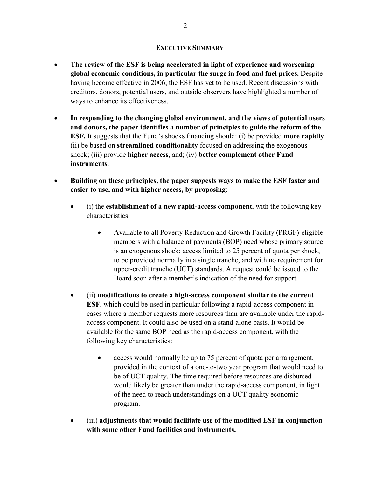#### **EXECUTIVE SUMMARY**

- **The review of the ESF is being accelerated in light of experience and worsening global economic conditions, in particular the surge in food and fuel prices.** Despite having become effective in 2006, the ESF has yet to be used. Recent discussions with creditors, donors, potential users, and outside observers have highlighted a number of ways to enhance its effectiveness.
- **In responding to the changing global environment, and the views of potential users and donors, the paper identifies a number of principles to guide the reform of the ESF.** It suggests that the Fund's shocks financing should: (i) be provided **more rapidly** (ii) be based on **streamlined conditionality** focused on addressing the exogenous shock; (iii) provide **higher access**, and; (iv) **better complement other Fund instruments**.
- **Building on these principles, the paper suggests ways to make the ESF faster and easier to use, and with higher access, by proposing**:
	- (i) the **establishment of a new rapid-access component**, with the following key characteristics:
		- Available to all Poverty Reduction and Growth Facility (PRGF)-eligible members with a balance of payments (BOP) need whose primary source is an exogenous shock; access limited to 25 percent of quota per shock, to be provided normally in a single tranche, and with no requirement for upper-credit tranche (UCT) standards. A request could be issued to the Board soon after a member's indication of the need for support.
	- (ii) **modifications to create a high-access component similar to the current ESF**, which could be used in particular following a rapid-access component in cases where a member requests more resources than are available under the rapidaccess component. It could also be used on a stand-alone basis. It would be available for the same BOP need as the rapid-access component, with the following key characteristics:
		- access would normally be up to 75 percent of quota per arrangement, provided in the context of a one-to-two year program that would need to be of UCT quality. The time required before resources are disbursed would likely be greater than under the rapid-access component, in light of the need to reach understandings on a UCT quality economic program.
	- (iii) **adjustments that would facilitate use of the modified ESF in conjunction with some other Fund facilities and instruments.**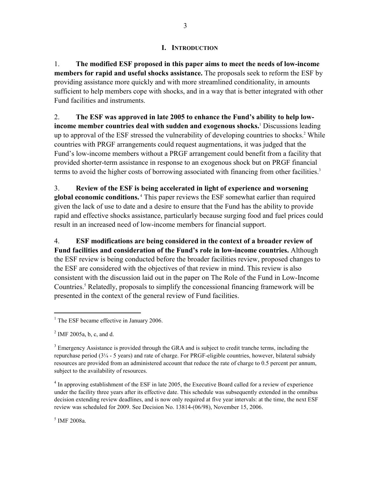#### **I. INTRODUCTION**

1. **The modified ESF proposed in this paper aims to meet the needs of low-income members for rapid and useful shocks assistance.** The proposals seek to reform the ESF by providing assistance more quickly and with more streamlined conditionality, in amounts sufficient to help members cope with shocks, and in a way that is better integrated with other Fund facilities and instruments.

2. **The ESF was approved in late 2005 to enhance the Fund's ability to help lowincome member countries deal with sudden and exogenous shocks.**<sup>1</sup> Discussions leading up to approval of the ESF stressed the vulnerability of developing countries to shocks.<sup>2</sup> While countries with PRGF arrangements could request augmentations, it was judged that the Fund's low-income members without a PRGF arrangement could benefit from a facility that provided shorter-term assistance in response to an exogenous shock but on PRGF financial terms to avoid the higher costs of borrowing associated with financing from other facilities.<sup>3</sup>

3. **Review of the ESF is being accelerated in light of experience and worsening global economic conditions.** 4 This paper reviews the ESF somewhat earlier than required given the lack of use to date and a desire to ensure that the Fund has the ability to provide rapid and effective shocks assistance, particularly because surging food and fuel prices could result in an increased need of low-income members for financial support.

4. **ESF modifications are being considered in the context of a broader review of Fund facilities and consideration of the Fund's role in low-income countries.** Although the ESF review is being conducted before the broader facilities review, proposed changes to the ESF are considered with the objectives of that review in mind. This review is also consistent with the discussion laid out in the paper on The Role of the Fund in Low-Income Countries.<sup>5</sup> Relatedly, proposals to simplify the concessional financing framework will be presented in the context of the general review of Fund facilities.

<u>.</u>

<sup>4</sup> In approving establishment of the ESF in late 2005, the Executive Board called for a review of experience under the facility three years after its effective date. This schedule was subsequently extended in the omnibus decision extending review deadlines, and is now only required at five year intervals: at the time, the next ESF review was scheduled for 2009. See Decision No. 13814-(06/98), November 15, 2006.

5 IMF 2008a.

<sup>&</sup>lt;sup>1</sup> The ESF became effective in January 2006.

 $^2$  IMF 2005a, b, c, and d.

 $3$  Emergency Assistance is provided through the GRA and is subject to credit tranche terms, including the repurchase period (3¼ - 5 years) and rate of charge. For PRGF-eligible countries, however, bilateral subsidy resources are provided from an administered account that reduce the rate of charge to 0.5 percent per annum, subject to the availability of resources.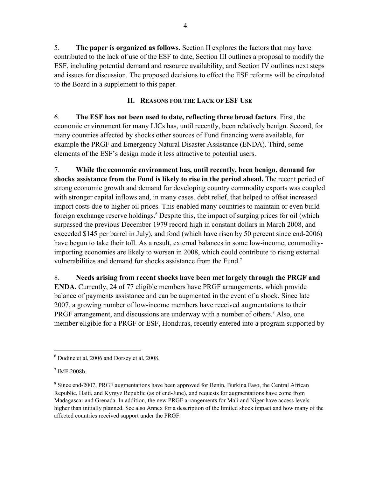5. **The paper is organized as follows.** Section II explores the factors that may have contributed to the lack of use of the ESF to date, Section III outlines a proposal to modify the ESF, including potential demand and resource availability, and Section IV outlines next steps and issues for discussion. The proposed decisions to effect the ESF reforms will be circulated to the Board in a supplement to this paper.

#### **II. REASONS FOR THE LACK OF ESF USE**

6. **The ESF has not been used to date, reflecting three broad factors**. First, the economic environment for many LICs has, until recently, been relatively benign. Second, for many countries affected by shocks other sources of Fund financing were available, for example the PRGF and Emergency Natural Disaster Assistance (ENDA). Third, some elements of the ESF's design made it less attractive to potential users.

7. **While the economic environment has, until recently, been benign, demand for shocks assistance from the Fund is likely to rise in the period ahead.** The recent period of strong economic growth and demand for developing country commodity exports was coupled with stronger capital inflows and, in many cases, debt relief, that helped to offset increased import costs due to higher oil prices. This enabled many countries to maintain or even build foreign exchange reserve holdings.<sup>6</sup> Despite this, the impact of surging prices for oil (which surpassed the previous December 1979 record high in constant dollars in March 2008, and exceeded \$145 per barrel in July), and food (which have risen by 50 percent since end-2006) have begun to take their toll. As a result, external balances in some low-income, commodityimporting economies are likely to worsen in 2008, which could contribute to rising external vulnerabilities and demand for shocks assistance from the Fund.<sup>7</sup>

8. **Needs arising from recent shocks have been met largely through the PRGF and ENDA.** Currently, 24 of 77 eligible members have PRGF arrangements, which provide balance of payments assistance and can be augmented in the event of a shock. Since late 2007, a growing number of low-income members have received augmentations to their PRGF arrangement, and discussions are underway with a number of others.<sup>8</sup> Also, one member eligible for a PRGF or ESF, Honduras, recently entered into a program supported by

<sup>6</sup> Dudine et al, 2006 and Dorsey et al, 2008.

<sup>7</sup> IMF 2008b*.*

<sup>&</sup>lt;sup>8</sup> Since end-2007, PRGF augmentations have been approved for Benin, Burkina Faso, the Central African Republic, Haiti, and Kyrgyz Republic (as of end-June), and requests for augmentations have come from Madagascar and Grenada. In addition, the new PRGF arrangements for Mali and Niger have access levels higher than initially planned. See also Annex for a description of the limited shock impact and how many of the affected countries received support under the PRGF.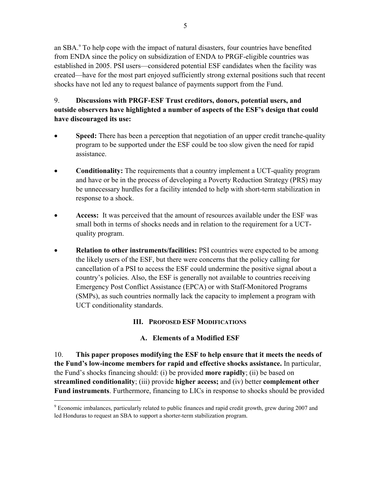an SBA.9 To help cope with the impact of natural disasters, four countries have benefited from ENDA since the policy on subsidization of ENDA to PRGF-eligible countries was established in 2005. PSI users—considered potential ESF candidates when the facility was created—have for the most part enjoyed sufficiently strong external positions such that recent shocks have not led any to request balance of payments support from the Fund.

# 9. **Discussions with PRGF-ESF Trust creditors, donors, potential users, and outside observers have highlighted a number of aspects of the ESF's design that could have discouraged its use:**

- **Speed:** There has been a perception that negotiation of an upper credit tranche-quality program to be supported under the ESF could be too slow given the need for rapid assistance.
- **Conditionality:** The requirements that a country implement a UCT-quality program and have or be in the process of developing a Poverty Reduction Strategy (PRS) may be unnecessary hurdles for a facility intended to help with short-term stabilization in response to a shock.
- **Access:** It was perceived that the amount of resources available under the ESF was small both in terms of shocks needs and in relation to the requirement for a UCTquality program.
- **Relation to other instruments/facilities:** PSI countries were expected to be among the likely users of the ESF, but there were concerns that the policy calling for cancellation of a PSI to access the ESF could undermine the positive signal about a country's policies. Also, the ESF is generally not available to countries receiving Emergency Post Conflict Assistance (EPCA) or with Staff-Monitored Programs (SMPs), as such countries normally lack the capacity to implement a program with UCT conditionality standards.

# **III. PROPOSED ESF MODIFICATIONS**

# **A. Elements of a Modified ESF**

10. **This paper proposes modifying the ESF to help ensure that it meets the needs of the Fund's low-income members for rapid and effective shocks assistance.** In particular, the Fund's shocks financing should: (i) be provided **more rapidly**; (ii) be based on **streamlined conditionality**; (iii) provide **higher access;** and (iv) better **complement other Fund instruments**. Furthermore, financing to LICs in response to shocks should be provided

<sup>&</sup>lt;sup>9</sup> Economic imbalances, particularly related to public finances and rapid credit growth, grew during 2007 and led Honduras to request an SBA to support a shorter-term stabilization program.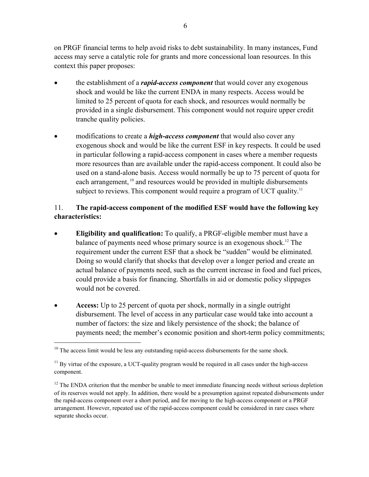on PRGF financial terms to help avoid risks to debt sustainability. In many instances, Fund access may serve a catalytic role for grants and more concessional loan resources. In this context this paper proposes:

- the establishment of a *rapid-access component* that would cover any exogenous shock and would be like the current ENDA in many respects. Access would be limited to 25 percent of quota for each shock, and resources would normally be provided in a single disbursement. This component would not require upper credit tranche quality policies.
- modifications to create a *high-access component* that would also cover any exogenous shock and would be like the current ESF in key respects. It could be used in particular following a rapid-access component in cases where a member requests more resources than are available under the rapid-access component. It could also be used on a stand-alone basis. Access would normally be up to 75 percent of quota for each arrangement, <sup>10</sup> and resources would be provided in multiple disbursements subject to reviews. This component would require a program of UCT quality.<sup>11</sup>

### 11. **The rapid-access component of the modified ESF would have the following key characteristics:**

- **Eligibility and qualification:** To qualify, a PRGF-eligible member must have a balance of payments need whose primary source is an exogenous shock.12 The requirement under the current ESF that a shock be "sudden" would be eliminated. Doing so would clarify that shocks that develop over a longer period and create an actual balance of payments need, such as the current increase in food and fuel prices, could provide a basis for financing. Shortfalls in aid or domestic policy slippages would not be covered.
- **Access:** Up to 25 percent of quota per shock, normally in a single outright disbursement. The level of access in any particular case would take into account a number of factors: the size and likely persistence of the shock; the balance of payments need; the member's economic position and short-term policy commitments;

 $10$  The access limit would be less any outstanding rapid-access disbursements for the same shock.

 $11$  By virtue of the exposure, a UCT-quality program would be required in all cases under the high-access component.

<sup>&</sup>lt;sup>12</sup> The ENDA criterion that the member be unable to meet immediate financing needs without serious depletion of its reserves would not apply. In addition, there would be a presumption against repeated disbursements under the rapid-access component over a short period, and for moving to the high-access component or a PRGF arrangement. However, repeated use of the rapid-access component could be considered in rare cases where separate shocks occur.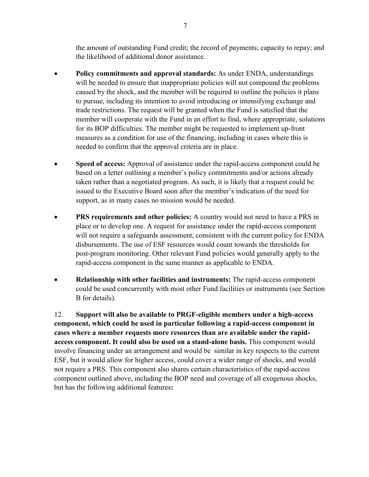the amount of outstanding Fund credit; the record of payments; capacity to repay; and the likelihood of additional donor assistance.

- **Policy commitments and approval standards:** As under ENDA, understandings will be needed to ensure that inappropriate policies will not compound the problems caused by the shock, and the member will be required to outline the policies it plans to pursue, including its intention to avoid introducing or intensifying exchange and trade restrictions. The request will be granted when the Fund is satisfied that the member will cooperate with the Fund in an effort to find, where appropriate, solutions for its BOP difficulties. The member might be requested to implement up-front measures as a condition for use of the financing, including in cases where this is needed to confirm that the approval criteria are in place.
- **Speed of access:** Approval of assistance under the rapid-access component could be based on a letter outlining a member's policy commitments and/or actions already taken rather than a negotiated program. As such, it is likely that a request could be issued to the Executive Board soon after the member's indication of the need for support, as in many cases no mission would be needed.
- **PRS requirements and other policies:** A country would not need to have a PRS in place or to develop one. A request for assistance under the rapid-access component will not require a safeguards assessment, consistent with the current policy for ENDA disbursements. The use of ESF resources would count towards the thresholds for post-program monitoring. Other relevant Fund policies would generally apply to the rapid-access component in the same manner as applicable to ENDA.
- **Relationship with other facilities and instruments:** The rapid-access component could be used concurrently with most other Fund facilities or instruments (see Section B for details).

12. **Support will also be available to PRGF-eligible members under a high-access component, which could be used in particular following a rapid-access component in cases where a member requests more resources than are available under the rapidaccess component. It could also be used on a stand-alone basis.** This component would involve financing under an arrangement and would be similar in key respects to the current ESF, but it would allow for higher access, could cover a wider range of shocks, and would not require a PRS. This component also shares certain characteristics of the rapid-access component outlined above, including the BOP need and coverage of all exogenous shocks, but has the following additional features**:**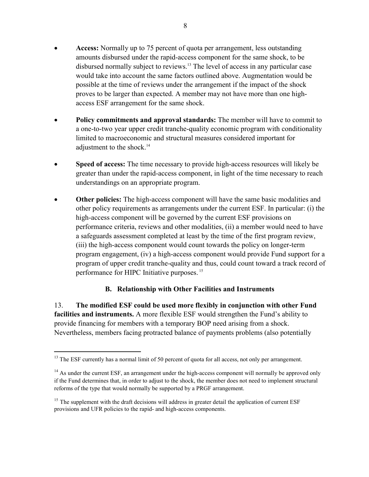- **Access:** Normally up to 75 percent of quota per arrangement, less outstanding amounts disbursed under the rapid-access component for the same shock, to be disbursed normally subject to reviews.13 The level of access in any particular case would take into account the same factors outlined above. Augmentation would be possible at the time of reviews under the arrangement if the impact of the shock proves to be larger than expected. A member may not have more than one highaccess ESF arrangement for the same shock.
- **Policy commitments and approval standards:** The member will have to commit to a one-to-two year upper credit tranche-quality economic program with conditionality limited to macroeconomic and structural measures considered important for adjustment to the shock.<sup>14</sup>
- **Speed of access:** The time necessary to provide high-access resources will likely be greater than under the rapid-access component, in light of the time necessary to reach understandings on an appropriate program.
- **Other policies:** The high-access component will have the same basic modalities and other policy requirements as arrangements under the current ESF. In particular: (i) the high-access component will be governed by the current ESF provisions on performance criteria, reviews and other modalities, (ii) a member would need to have a safeguards assessment completed at least by the time of the first program review, (iii) the high-access component would count towards the policy on longer-term program engagement, (iv) a high-access component would provide Fund support for a program of upper credit tranche-quality and thus, could count toward a track record of performance for HIPC Initiative purposes. 15

### **B. Relationship with Other Facilities and Instruments**

13. **The modified ESF could be used more flexibly in conjunction with other Fund facilities and instruments.** A more flexible ESF would strengthen the Fund's ability to provide financing for members with a temporary BOP need arising from a shock. Nevertheless, members facing protracted balance of payments problems (also potentially

<u>.</u>

<sup>&</sup>lt;sup>13</sup> The ESF currently has a normal limit of 50 percent of quota for all access, not only per arrangement.

 $14$  As under the current ESF, an arrangement under the high-access component will normally be approved only if the Fund determines that, in order to adjust to the shock, the member does not need to implement structural reforms of the type that would normally be supported by a PRGF arrangement.

<sup>&</sup>lt;sup>15</sup> The supplement with the draft decisions will address in greater detail the application of current ESF provisions and UFR policies to the rapid- and high-access components.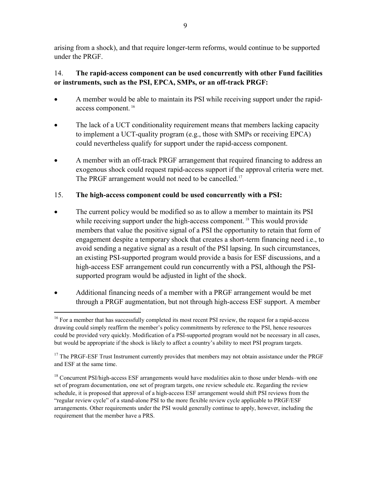arising from a shock), and that require longer-term reforms, would continue to be supported under the PRGF.

# 14. **The rapid-access component can be used concurrently with other Fund facilities or instruments, such as the PSI, EPCA, SMPs, or an off-track PRGF:**

- A member would be able to maintain its PSI while receiving support under the rapidaccess component. 16
- The lack of a UCT conditionality requirement means that members lacking capacity to implement a UCT-quality program (e.g., those with SMPs or receiving EPCA) could nevertheless qualify for support under the rapid-access component.
- A member with an off-track PRGF arrangement that required financing to address an exogenous shock could request rapid-access support if the approval criteria were met. The PRGF arrangement would not need to be cancelled.<sup>17</sup>

# 15. **The high-access component could be used concurrently with a PSI:**

- The current policy would be modified so as to allow a member to maintain its PSI while receiving support under the high-access component.<sup>18</sup> This would provide members that value the positive signal of a PSI the opportunity to retain that form of engagement despite a temporary shock that creates a short-term financing need i.e., to avoid sending a negative signal as a result of the PSI lapsing. In such circumstances, an existing PSI-supported program would provide a basis for ESF discussions, and a high-access ESF arrangement could run concurrently with a PSI, although the PSIsupported program would be adjusted in light of the shock.
- Additional financing needs of a member with a PRGF arrangement would be met through a PRGF augmentation, but not through high-access ESF support. A member

<sup>&</sup>lt;sup>16</sup> For a member that has successfully completed its most recent PSI review, the request for a rapid-access drawing could simply reaffirm the member's policy commitments by reference to the PSI, hence resources could be provided very quickly. Modification of a PSI-supported program would not be necessary in all cases, but would be appropriate if the shock is likely to affect a country's ability to meet PSI program targets.

 $17$  The PRGF-ESF Trust Instrument currently provides that members may not obtain assistance under the PRGF and ESF at the same time.

<sup>&</sup>lt;sup>18</sup> Concurrent PSI/high-access ESF arrangements would have modalities akin to those under blends–with one set of program documentation, one set of program targets, one review schedule etc. Regarding the review schedule, it is proposed that approval of a high-access ESF arrangement would shift PSI reviews from the "regular review cycle" of a stand-alone PSI to the more flexible review cycle applicable to PRGF/ESF arrangements. Other requirements under the PSI would generally continue to apply, however, including the requirement that the member have a PRS.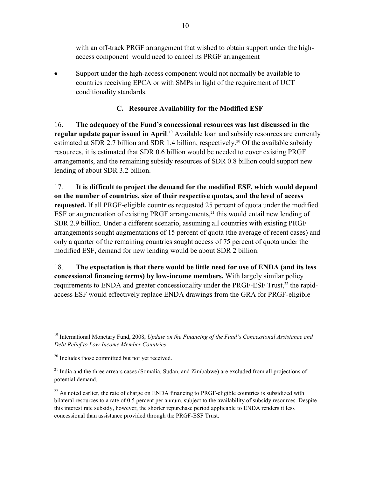with an off-track PRGF arrangement that wished to obtain support under the highaccess component would need to cancel its PRGF arrangement

• Support under the high-access component would not normally be available to countries receiving EPCA or with SMPs in light of the requirement of UCT conditionality standards.

#### **C. Resource Availability for the Modified ESF**

16. **The adequacy of the Fund's concessional resources was last discussed in the regular update paper issued in April**. 19 Available loan and subsidy resources are currently estimated at SDR 2.7 billion and SDR 1.4 billion, respectively.<sup>20</sup> Of the available subsidy resources, it is estimated that SDR 0.6 billion would be needed to cover existing PRGF arrangements, and the remaining subsidy resources of SDR 0.8 billion could support new lending of about SDR 3.2 billion.

17. **It is difficult to project the demand for the modified ESF, which would depend on the number of countries, size of their respective quotas, and the level of access requested.** If all PRGF-eligible countries requested 25 percent of quota under the modified ESF or augmentation of existing PRGF arrangements, $^{21}$  this would entail new lending of SDR 2.9 billion. Under a different scenario, assuming all countries with existing PRGF arrangements sought augmentations of 15 percent of quota (the average of recent cases) and only a quarter of the remaining countries sought access of 75 percent of quota under the modified ESF, demand for new lending would be about SDR 2 billion.

18. **The expectation is that there would be little need for use of ENDA (and its less concessional financing terms) by low-income members.** With largely similar policy requirements to ENDA and greater concessionality under the PRGF-ESF Trust,<sup>22</sup> the rapidaccess ESF would effectively replace ENDA drawings from the GRA for PRGF-eligible

<sup>19</sup> International Monetary Fund, 2008, *Update on the Financing of the Fund's Concessional Assistance and Debt Relief to Low-Income Member Countries*.

<sup>&</sup>lt;sup>20</sup> Includes those committed but not yet received.

 $21$  India and the three arrears cases (Somalia, Sudan, and Zimbabwe) are excluded from all projections of potential demand.

 $^{22}$  As noted earlier, the rate of charge on ENDA financing to PRGF-eligible countries is subsidized with bilateral resources to a rate of 0.5 percent per annum, subject to the availability of subsidy resources. Despite this interest rate subsidy, however, the shorter repurchase period applicable to ENDA renders it less concessional than assistance provided through the PRGF-ESF Trust.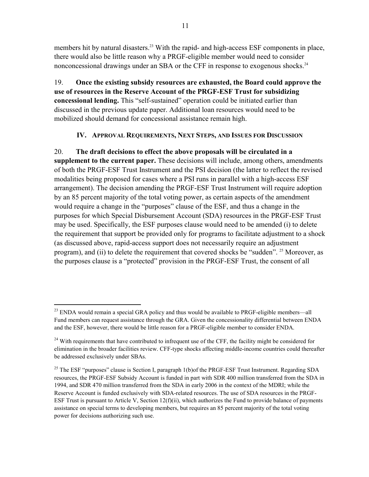members hit by natural disasters.<sup>23</sup> With the rapid- and high-access ESF components in place, there would also be little reason why a PRGF-eligible member would need to consider nonconcessional drawings under an SBA or the CFF in response to exogenous shocks.<sup>24</sup>

19. **Once the existing subsidy resources are exhausted, the Board could approve the use of resources in the Reserve Account of the PRGF-ESF Trust for subsidizing concessional lending.** This "self-sustained" operation could be initiated earlier than discussed in the previous update paper. Additional loan resources would need to be mobilized should demand for concessional assistance remain high.

#### **IV. APPROVAL REQUIREMENTS, NEXT STEPS, AND ISSUES FOR DISCUSSION**

20. **The draft decisions to effect the above proposals will be circulated in a supplement to the current paper.** These decisions will include, among others, amendments of both the PRGF-ESF Trust Instrument and the PSI decision (the latter to reflect the revised modalities being proposed for cases where a PSI runs in parallel with a high-access ESF arrangement). The decision amending the PRGF-ESF Trust Instrument will require adoption by an 85 percent majority of the total voting power, as certain aspects of the amendment would require a change in the "purposes" clause of the ESF, and thus a change in the purposes for which Special Disbursement Account (SDA) resources in the PRGF-ESF Trust may be used. Specifically, the ESF purposes clause would need to be amended (i) to delete the requirement that support be provided only for programs to facilitate adjustment to a shock (as discussed above, rapid-access support does not necessarily require an adjustment program), and (ii) to delete the requirement that covered shocks be "sudden". 25 Moreover, as the purposes clause is a "protected" provision in the PRGF-ESF Trust, the consent of all

 $^{23}$  ENDA would remain a special GRA policy and thus would be available to PRGF-eligible members—all Fund members can request assistance through the GRA. Given the concessionality differential between ENDA and the ESF, however, there would be little reason for a PRGF-eligible member to consider ENDA.

<sup>&</sup>lt;sup>24</sup> With requirements that have contributed to infrequent use of the CFF, the facility might be considered for elimination in the broader facilities review. CFF-type shocks affecting middle-income countries could thereafter be addressed exclusively under SBAs.

<sup>&</sup>lt;sup>25</sup> The ESF "purposes" clause is Section I, paragraph 1(b) of the PRGF-ESF Trust Instrument. Regarding SDA resources, the PRGF-ESF Subsidy Account is funded in part with SDR 400 million transferred from the SDA in 1994, and SDR 470 million transferred from the SDA in early 2006 in the context of the MDRI; while the Reserve Account is funded exclusively with SDA-related resources. The use of SDA resources in the PRGF-ESF Trust is pursuant to Article V, Section  $12(f)(ii)$ , which authorizes the Fund to provide balance of payments assistance on special terms to developing members, but requires an 85 percent majority of the total voting power for decisions authorizing such use.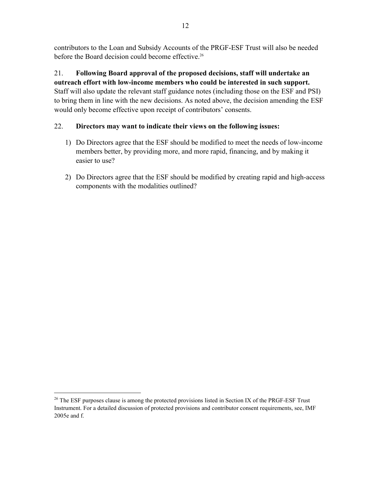contributors to the Loan and Subsidy Accounts of the PRGF-ESF Trust will also be needed before the Board decision could become effective.<sup>26</sup>

# 21. **Following Board approval of the proposed decisions, staff will undertake an**

**outreach effort with low-income members who could be interested in such support.**  Staff will also update the relevant staff guidance notes (including those on the ESF and PSI) to bring them in line with the new decisions. As noted above, the decision amending the ESF would only become effective upon receipt of contributors' consents.

### 22. **Directors may want to indicate their views on the following issues:**

- 1) Do Directors agree that the ESF should be modified to meet the needs of low-income members better, by providing more, and more rapid, financing, and by making it easier to use?
- 2) Do Directors agree that the ESF should be modified by creating rapid and high-access components with the modalities outlined?

 $^{26}$  The ESF purposes clause is among the protected provisions listed in Section IX of the PRGF-ESF Trust Instrument. For a detailed discussion of protected provisions and contributor consent requirements, see, IMF 2005e and f.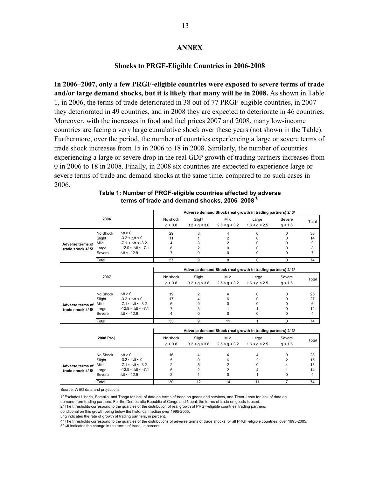#### **ANNEX**

#### **Shocks to PRGF-Eligible Countries in 2006-2008**

**In 2006–2007, only a few PRGF-eligible countries were exposed to severe terms of trade and/or large demand shocks, but it is likely that many will be in 2008.** As shown in Table 1, in 2006, the terms of trade deteriorated in 38 out of 77 PRGF-eligible countries, in 2007 they deteriorated in 49 countries, and in 2008 they are expected to deteriorate in 46 countries. Moreover, with the increases in food and fuel prices 2007 and 2008, many low-income countries are facing a very large cumulative shock over these years (not shown in the Table). Furthermore, over the period, the number of countries experiencing a large or severe terms of trade shock increases from 15 in 2006 to 18 in 2008. Similarly, the number of countries experiencing a large or severe drop in the real GDP growth of trading partners increases from 0 in 2006 to 18 in 2008. Finally, in 2008 six countries are expected to experience large or severe terms of trade and demand shocks at the same time, compared to no such cases in 2006.

#### **Table 1: Number of PRGF-eligible countries affected by adverse terms of trade and demand shocks, 2006–2008 1/**

|                  |            |                              | Adverse demand Shock (real growth in trading partners) 2/ 3/ |                |                |                                                              |          |                 |  |  |  |  |  |  |
|------------------|------------|------------------------------|--------------------------------------------------------------|----------------|----------------|--------------------------------------------------------------|----------|-----------------|--|--|--|--|--|--|
|                  | 2006       |                              | No shock                                                     | Slight         | Mild           | Large                                                        | Severe   | Total           |  |  |  |  |  |  |
|                  |            |                              | q > 3.8                                                      | 3.2 < q < 3.8  | 2.5 < q < 3.2  | 1.6 < q < 2.5                                                | q < 1.6  |                 |  |  |  |  |  |  |
|                  | No Shock   | $\Lambda$ tt > 0             | 29                                                           | 3              | 4              | $\Omega$                                                     | 0        | 36              |  |  |  |  |  |  |
|                  | Slight     | $-3.2 < \Delta tt < 0$       | 11                                                           | 1              | $\overline{2}$ | $\Omega$                                                     | 0        | 14              |  |  |  |  |  |  |
| Adverse terms of | Mild       | $-7.1 < \Delta$ tt < $-3.2$  | 4                                                            | 3              | $\overline{2}$ | $\Omega$                                                     | 0        | 9               |  |  |  |  |  |  |
| trade shock 4/5/ | Large      | $-12.9 < \Delta$ tt < $-7.1$ | 6                                                            | $\overline{2}$ | $\Omega$       | $\Omega$                                                     | 0        | 8               |  |  |  |  |  |  |
|                  | Severe     | $\Delta$ tt < -12.9          | 7                                                            | 0              | 0              | <sup>0</sup>                                                 | 0        | $\overline{7}$  |  |  |  |  |  |  |
|                  | Total      |                              | 57                                                           | 9              | 8              | 0                                                            | 0        | $\overline{74}$ |  |  |  |  |  |  |
|                  |            |                              | Adverse demand Shock (real growth in trading partners) 2/ 3/ |                |                |                                                              |          |                 |  |  |  |  |  |  |
|                  | 2007       |                              | No shock                                                     | Slight         | Mild           | Large                                                        | Severe   |                 |  |  |  |  |  |  |
|                  |            |                              | q > 3.8                                                      | 3.2 < q < 3.8  | 2.5 < g < 3.2  | 1.6 < g < 2.5                                                | q < 1.6  | Total           |  |  |  |  |  |  |
|                  |            |                              |                                                              |                |                |                                                              |          |                 |  |  |  |  |  |  |
|                  | No Shock   | $\Delta$ tt > 0              | 19                                                           | 2              | 4              | <sup>0</sup>                                                 | 0        | 25              |  |  |  |  |  |  |
|                  | Slight     | $-3.2 < \Delta tt < 0$       | 17                                                           | 4              | 6              | 0                                                            | 0        | 27              |  |  |  |  |  |  |
| Adverse terms of | Mild       | $-7.1 < \Delta$ tt < $-3.2$  | 6                                                            | 0              | 0              | $\Omega$                                                     | 0        | 6               |  |  |  |  |  |  |
| trade shock 4/5/ | Large      | $-12.9 < \Delta tt < -7.1$   | $\overline{7}$                                               | 3              | 1              |                                                              | 0        | 12              |  |  |  |  |  |  |
|                  | Severe     | $\Delta$ tt < -12.9          | 4                                                            | 0              | 0              | $\Omega$                                                     | 0        | 4               |  |  |  |  |  |  |
|                  | Total      |                              | 53                                                           | 9              | 11             | 1                                                            | $\Omega$ | 74              |  |  |  |  |  |  |
|                  |            |                              |                                                              |                |                | Adverse demand Shock (real growth in trading partners) 2/ 3/ |          |                 |  |  |  |  |  |  |
|                  | 2008 Proj. |                              | No shock                                                     | Slight         | Mild           | Large                                                        | Severe   |                 |  |  |  |  |  |  |
|                  |            |                              | q > 3.8                                                      | 3.2 < q < 3.8  | 2.5 < g < 3.2  | 1.6 < g < 2.5                                                | g < 1.6  | Total           |  |  |  |  |  |  |
|                  | No Shock   | $\Lambda$ tt > 0             | 16                                                           | 4              | 4              | 4                                                            | 0        | 28              |  |  |  |  |  |  |
|                  | Slight     | $-3.2 < \Delta$ tt < 0       | 5                                                            | 0              | 6              | 2                                                            | 2        | 15              |  |  |  |  |  |  |
| Adverse terms of | Mild       | $-7.1 < \Delta$ tt < $-3.2$  | $\overline{2}$                                               | 5              | $\overline{2}$ | $\Omega$                                                     | 4        | 13              |  |  |  |  |  |  |
| trade shock 4/5/ | Large      | $-12.9 < \Delta tt < -7.1$   | 5                                                            | $\overline{2}$ | $\overline{2}$ | 4                                                            | 1        | 14              |  |  |  |  |  |  |
|                  | Severe     | $\Delta$ tt < -12.9          | $\overline{2}$                                               | 1              | $\mathbf 0$    | 1                                                            | 0        | 4               |  |  |  |  |  |  |
|                  |            |                              |                                                              |                |                |                                                              |          |                 |  |  |  |  |  |  |

Source: WEO data and projections

1/ Excludes Liberia, Somalia, and Tonga for lack of data on terms of trade on goods and services, and Timor-Leste for lack of data on

demand from trading partners. For the Democratic Republic of Congo and Nepal, the terms of trade on goods is used.

2/ The thresholds correspond to the quartiles of the distribution of real growth of PRGF-eligible countries' trading partners,

conditional on this growth being below the historical median over 1995-2005.

3/ g indicates the rate of growth of trading partners, in percent.

4/ The thresholds correspond to the quartiles of the distributions of adverse terms of trade shocks for all PRGF-eligible countries, over 1995-2005. 5/ Δtt indicates the change in the terms of trade, in percent.

Total 30 12 14 11 7 74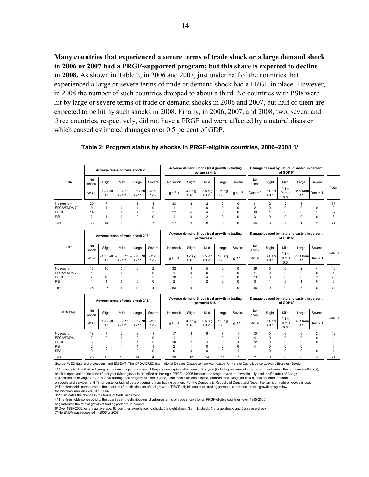**Many countries that experienced a severe terms of trade shock or a large demand shock in 2006 or 2007 had a PRGF-supported program; but this share is expected to decline in 2008.** As shown in Table 2, in 2006 and 2007, just under half of the countries that experienced a large or severe terms of trade or demand shock had a PRGF in place. However, in 2008 the number of such countries dropped to about a third. No countries with PSIs were hit by large or severe terms of trade or demand shocks in 2006 and 2007, but half of them are expected to be hit by such shocks in 2008. Finally, in 2006, 2007, and 2008, two, seven, and three countries, respectively, did not have a PRGF and were affected by a natural disaster which caused estimated damages over 0.5 percent of GDP.

|                    |                            |                                       |                                | Adverse terms of trade shock 2/3/ |                           |                            | Adverse demand Shock (real growth in trading | partners) 4/ 5/                  |                                  |                            | Damage caused by natural disaster, in percent<br>of GDP 6/ |                             |                         |                                               |                            |                |
|--------------------|----------------------------|---------------------------------------|--------------------------------|-----------------------------------|---------------------------|----------------------------|----------------------------------------------|----------------------------------|----------------------------------|----------------------------|------------------------------------------------------------|-----------------------------|-------------------------|-----------------------------------------------|----------------------------|----------------|
| 2006               | <b>No</b><br>shock         | Slight                                | Mild                           | Large                             | Severe                    | No shock                   | Slight                                       | Mild                             | Large                            | Severe                     | No<br>shock                                                | Slight                      | Mild                    | Large                                         | Severe                     | Total          |
|                    | $\Delta tt > 0$            | $-3.2 < \Delta$ tt<br>$\leq 0$        | $-7.1 < \Delta$ tt<br>$< -3.2$ | $-12.9 < \Delta$ tt<br>$< -7.1$   | $\Delta t$ t < -<br>12.9  | g > 3.8                    | 3.2 < g<br>< 3.8                             | 2.5 < g<br>< 3.2                 | 1.6 < g<br>< 2.5                 | g < 1.6                    | $Dam = 0$                                                  | $0 <$ Dam<br>${}_{0.1}$     | 0.1 <<br>Dam <<br>0.5   | $0.5 <$ Dam<br>< 1                            | Dam > 1                    |                |
| No program         | 20                         | $\overline{7}$                        | $\mathbf{1}$                   | 5                                 | 4                         | 33                         | $\overline{2}$                               | $\overline{2}$                   | 0                                | 0                          | 31                                                         | $\overline{2}$              | $\overline{2}$          | $\mathbf{1}$                                  | 1                          | 37             |
| EPCA/ENDA 7/       | $\Omega$                   | 1                                     | $\Omega$                       | 1                                 | $\Omega$                  | 1                          | 1                                            | $\Omega$<br>4                    | 0                                | $\Omega$                   | $\overline{2}$                                             | $\Omega$                    | $\Omega$                | $\Omega$                                      | $\Omega$                   | $\overline{2}$ |
| PRGF<br>PSI        | 14<br>$\overline{2}$       | 5<br>1                                | 8<br>$\Omega$                  | $\overline{2}$<br>$\Omega$        | 3<br>$\Omega$             | 22<br>$\mathbf{1}$         | 6<br>$\Omega$                                | $\overline{2}$                   | 0<br>0                           | 0<br>0                     | 30<br>3                                                    | $\mathbf{1}$<br>$\mathbf 0$ | 0<br>$\Omega$           | 0<br>$\Omega$                                 | 1<br>$\mathbf 0$           | 32<br>3        |
| Total              | 36                         | 14                                    | 9                              | 8                                 | $\overline{7}$            | 57                         | 9                                            | 8                                | 0                                | $\Omega$                   | 66                                                         | 3                           | $\overline{2}$          | 1                                             | $\overline{2}$             | 74             |
|                    |                            |                                       |                                |                                   |                           |                            |                                              |                                  |                                  |                            |                                                            |                             |                         |                                               |                            |                |
|                    |                            |                                       |                                | Adverse terms of trade shock 2/3/ |                           |                            | Adverse demand Shock (real growth in trading | partners) 4/ 5/                  |                                  |                            |                                                            |                             | of GDP 6/               | Damage caused by natural disaster, in percent |                            |                |
| 2007               | No<br>shock                | Slight                                | Mild                           | Large                             | Severe                    | No shock                   | Slight                                       | Mild                             | Large                            | Severe                     | No<br>shock                                                | Slight                      | Mild                    | Large                                         | Severe                     |                |
|                    | $\Delta tt > 0$            | $-3.2 < \Delta \text{tt}$<br>$\leq 0$ | $-7.1 < \Delta$ tt<br>$< -3.2$ | $-12.9 < \Delta$ tt<br>$< -7.1$   | $\Delta t$ tt < -<br>12.9 | g > 3.8                    | 3.2 < g<br>< 3.8                             | 2.5 < g<br>< 3.2                 | 1.6 < g<br>< 2.5                 | g < 1.6                    | $Dam = 0$                                                  | $0 <$ Dam<br>< 0.1          | 0.1 <<br>Dam <<br>0.5   | $0.5 <$ Dam<br>< 1                            | Dam > 1                    | Total 5/       |
| No program         | 13                         | 16                                    | 3                              | 6                                 | 2                         | 32                         | 3                                            | 5                                | 0                                | $\Omega$                   | 29                                                         | 5                           | $\Omega$                | $\overline{2}$                                | 4                          | 40             |
| EPCA/ENDA 7/       | $\mathbf{1}$               | $\Omega$                              | 0                              | $\Omega$                          | $\Omega$                  | 1                          | $\Omega$                                     | $\Omega$                         | $\Omega$                         | $\Omega$                   | $\mathbf{1}$                                               | 0                           | $\Omega$                | $\Omega$                                      | 0                          | $\mathbf{1}$   |
| <b>PRGF</b><br>PSI | $\overline{7}$<br>4        | 10<br>1                               | 3<br>$\Omega$                  | 6<br>$\Omega$                     | 2<br>$\Omega$             | 18<br>$\overline{2}$       | 5<br>$\overline{1}$                          | $\overline{4}$<br>$\overline{2}$ | 1<br>0                           | 0<br>$\Omega$              | 23<br>3                                                    | 3<br>1                      | 0<br>$\Omega$           | 0<br>$\mathbf{1}$                             | $\overline{2}$<br>$\Omega$ | 28<br>5        |
|                    | 25                         | 27                                    | 6                              | 12                                | 4                         | 53                         | 9                                            | 11                               | $\mathbf{1}$                     | $\Omega$                   | 56                                                         | 9                           | $\Omega$                |                                               |                            | 74             |
| Total              |                            |                                       |                                |                                   |                           |                            |                                              |                                  |                                  |                            |                                                            |                             |                         | 3                                             | 6                          |                |
|                    |                            |                                       |                                | Adverse terms of trade shock 2/3/ |                           |                            | Adverse demand Shock (real growth in trading | partners) 4/ 5/                  |                                  |                            | Damage caused by natural disaster, in percent<br>of GDP 6/ |                             |                         |                                               |                            |                |
| 2008 Proj.         | No<br>shock                | Slight                                | Mild                           | Large                             | Severe                    | No shock                   | Slight                                       | Mild                             | Large                            | Severe                     | No<br>shock                                                | Slight                      | Mild                    | Large                                         | Severe                     |                |
|                    | $\Delta tt > 0$            | $-3.2 < \Delta$ tt<br>< 0             | $-7.1 < \Delta$ tt<br>$< -3.2$ | $-12.9 < \Delta$ tt<br>$< -7.1$   | $\Delta$ tt < -<br>12.9   | g > 3.8                    | 3.2 < g<br>< 3.8                             | 2.5 < g<br>< 3.2                 | 1.6 < g<br>< 2.5                 | g < 1.6                    | $Dam = 0$                                                  | $0 <$ Dam<br>${}_{0.1}$     | 0.1 <<br>Dam <<br>0.5   | $0.5 <$ Dam<br>< 1                            | Dam > 1                    | Total 5/       |
| No program         | 18                         | $\overline{7}$                        | $\overline{7}$                 | 9                                 | 1                         | 17                         | 8                                            | 9                                | $\overline{7}$                   | 1                          | 40                                                         | 0                           | $\mathbf 0$             | 0                                             | $\overline{\mathbf{c}}$    | 42             |
| <b>EPCA/ENDA</b>   | $\overline{2}$             | $\overline{2}$                        | $\Omega$                       | 0                                 | 0                         | 1                          | 1                                            | 1                                | 0                                | 1                          | 4                                                          | 0                           | 0                       | 0                                             | 0                          | $\overline{4}$ |
| <b>PRGF</b>        | 6                          | 6<br>$\Omega$                         | 4                              | 4                                 | $\overline{2}$            | 10                         | $\overline{2}$<br>1                          | 4<br>$\Omega$                    | $\overline{2}$<br>$\overline{2}$ | $\overline{4}$<br>$\Omega$ | 22                                                         | 0                           | 0                       | 0                                             | 0                          | 22             |
| PSI<br><b>SBA</b>  | $\overline{2}$<br>$\Omega$ | $\Omega$                              | 1<br>1                         | 1<br>$\Omega$                     | 1<br>$\Omega$             | $\overline{2}$<br>$\Omega$ | $\Omega$                                     | $\Omega$                         | 0                                | 1                          | 4<br>$\mathbf{1}$                                          | 0<br>$\Omega$               | $\mathbf 0$<br>$\Omega$ | 0<br>$\Omega$                                 | $\overline{1}$<br>0        | 5<br>1         |
|                    | 28                         | 15                                    | 13                             | 14                                | 4                         | 30                         | 12                                           | 14                               | 11                               | $\overline{7}$             | 71                                                         | 0                           | $\Omega$                | $\Omega$                                      | 3                          | 74             |
| Total              |                            |                                       |                                |                                   |                           |                            |                                              |                                  |                                  |                            |                                                            |                             |                         |                                               |                            |                |

|  | Table 2: Program status by shocks in PRGF-eligible countries, 2006-2008 1/ |
|--|----------------------------------------------------------------------------|
|  |                                                                            |

Source: WEO data and projections, and EM-DAT: The OFDA/CRED International Disaster Database - www.emdat.be, Universite Catholique de Louvain, Brussles (Belgium)

1/ A country is classified as having a program in a particular year if the program expires after June of that year (including because of an extension and even if the program is off-track), or if it is approved before June of that year (Madagascar is classified as having a PRGF in 2006 because the program was approved in July, and the Republic of Congo

is classified as having a PRGF in 2008 although the program expired in June). The table excludes Liberia, Somalia, and Tonga for lack of data on terms of trade<br>on goods and services, and Timor-Leste for lack of data on de

2/ The thresholds correspond to the quartiles of the distribution of real growth of PRGF-eligible countries' trading partners, conditional on this growth being below the historical median over 1995-2005.

3/ Δtt indicates the change in the terms of trade, in percent.

4/ The thresholds correspond to the quartiles of the distributions of adverse terms of trade shocks for all PRGF-eligible countries, over 1995-2005

5/ g indicates the rate of growth of trading partners, in percent.

6/ Over 1995-2005, on annual average, 60 countries experience no shock, 5 a slight shock, 3 a mild shock, 3 a large shock, and 5 a severe shock. 7/ No ENDA was requested in 2006 or 2007.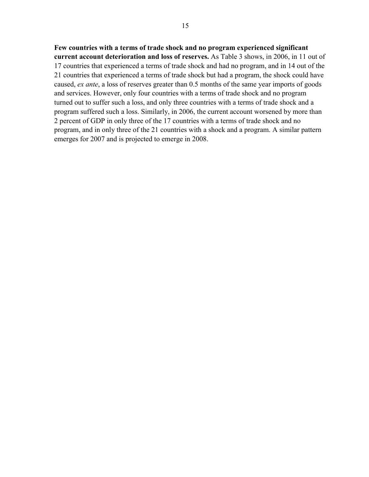#### **Few countries with a terms of trade shock and no program experienced significant**

**current account deterioration and loss of reserves.** As Table 3 shows, in 2006, in 11 out of 17 countries that experienced a terms of trade shock and had no program, and in 14 out of the 21 countries that experienced a terms of trade shock but had a program, the shock could have caused, *ex ante*, a loss of reserves greater than 0.5 months of the same year imports of goods and services. However, only four countries with a terms of trade shock and no program turned out to suffer such a loss, and only three countries with a terms of trade shock and a program suffered such a loss. Similarly, in 2006, the current account worsened by more than 2 percent of GDP in only three of the 17 countries with a terms of trade shock and no program, and in only three of the 21 countries with a shock and a program. A similar pattern emerges for 2007 and is projected to emerge in 2008.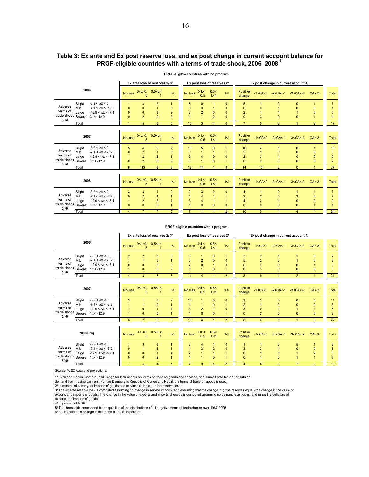#### **Table 3: Ex ante and Ex post reserve loss, and ex post change in current account balance for PRGF-eligible countries with a terms of trade shock, 2006–2008 1/**

|                                            |                                                                                                                                                             |                                                   |                                                   | Ex ante loss of reserves 2/3/                                                                                                                                                                                                                                                                                                                        |                                                              |                                              |                                                   | Ex post loss of reserves 2/                        |                                                                                | Ex post change in current account 4/                                    |                                                                  |                                                |                                                              |                                                   |                                |  |
|--------------------------------------------|-------------------------------------------------------------------------------------------------------------------------------------------------------------|---------------------------------------------------|---------------------------------------------------|------------------------------------------------------------------------------------------------------------------------------------------------------------------------------------------------------------------------------------------------------------------------------------------------------------------------------------------------------|--------------------------------------------------------------|----------------------------------------------|---------------------------------------------------|----------------------------------------------------|--------------------------------------------------------------------------------|-------------------------------------------------------------------------|------------------------------------------------------------------|------------------------------------------------|--------------------------------------------------------------|---------------------------------------------------|--------------------------------|--|
|                                            | 2006                                                                                                                                                        | No loss                                           | 0 < L < 0.<br>5                                   | 0.5 < L <                                                                                                                                                                                                                                                                                                                                            | 1< L                                                         | No loss                                      | 0 < L <<br>0.5                                    | 0.5<<br>L < 1                                      | 1< L                                                                           | Positive<br>change                                                      | $-1 < CA < 0$                                                    | $-2 < CA < -1$                                 | $-3 < CA < -2$                                               | $CA < -3$                                         | <b>Total</b>                   |  |
| Adverse<br>terms of<br>trade shock<br>5/6/ | $-3.2 < \Delta tt < 0$<br>Slight<br>$-7.1 < \Delta$ tt < $-3.2$<br>Mild<br>$-12.9 < \Delta t$ t < $-7.1$<br>Large<br>Severe<br>$\Delta$ tt < -12.9<br>Total | $\mathbf{0}$<br>$\mathbf{0}$<br>$\Omega$<br>-1    | 3<br>$\Omega$<br>$\Omega$<br>$\overline{2}$<br>5  | $\overline{2}$<br>3<br>$\Omega$<br>6                                                                                                                                                                                                                                                                                                                 | $\mathbf{0}$<br>$\overline{2}$<br>$\overline{2}$<br>5        | 6<br>$\Omega$<br>3<br>10                     | $\Omega$<br>$\mathbf{0}$<br>$\overline{2}$<br>3   | $\overline{0}$<br>$\overline{2}$<br>$\overline{4}$ | $\mathbf{0}$<br>$\mathbf{0}$<br>$\mathbf{0}$<br>$\overline{0}$<br>$\mathbf{0}$ | 5<br>$\mathbf{0}$<br>$\overline{2}$<br>$\overline{0}$<br>$\overline{7}$ | 1<br>$\mathbf{0}$<br>1<br>3<br>5                                 | $\mathbf{0}$<br>$\mathbf{0}$<br>$\overline{2}$ | $\mathbf{0}$<br>$\overline{0}$<br>$\overline{0}$             | $\mathbf{0}$<br>$\mathbf{0}$<br>$\overline{2}$    | $\overline{7}$<br>5<br>4<br>17 |  |
|                                            | 2007                                                                                                                                                        | No loss                                           | 5                                                 | 0 <l<0. 0.5<l<<="" td=""><td>1&lt; L</td><td>No loss</td><td>0 &lt; L &lt;<br/>0.5</td><td>0.5&lt;<br/>L &lt; 1</td><td>1&lt; L</td><td><b>Positive</b><br/>change</td><td></td><td><math>-1 &lt; CA &lt; 0</math> <math>-2 &lt; CA &lt; -1</math></td><td><math>-3 &lt; CA &lt; -2</math></td><td><math>CA &lt; -3</math></td><td>Total</td></l<0.> | 1< L                                                         | No loss                                      | 0 < L <<br>0.5                                    | 0.5<<br>L < 1                                      | 1< L                                                                           | <b>Positive</b><br>change                                               |                                                                  | $-1 < CA < 0$ $-2 < CA < -1$                   | $-3 < CA < -2$                                               | $CA < -3$                                         | Total                          |  |
| Adverse<br>terms of<br>trade shock<br>5/6/ | $-3.2 < \Delta$ tt < 0<br>Slight<br>$-7.1 < \Delta$ tt < $-3.2$<br>Mild<br>$-12.9 < \Delta t$ t < $-7.1$<br>Large<br>Severe<br>$\Delta$ tt < -12.9          | 5<br>$\Omega$<br>$\overline{1}$<br>$\Omega$       | 4<br>2<br>$\overline{2}$<br>$\overline{2}$        | 5<br>$\overline{2}$<br>$\Omega$                                                                                                                                                                                                                                                                                                                      | $\overline{2}$<br>$\mathbf{0}$<br>$\overline{1}$<br>$\Omega$ | 10<br>$\Omega$<br>$\overline{2}$<br>$\Omega$ | 5<br>$\overline{4}$<br>4                          | $\overline{0}$<br>$\overline{0}$<br>$\mathbf{0}$   | $\mathbf{0}$<br>1                                                              | 10<br>$\overline{\mathbf{c}}$<br>$\overline{2}$<br>$\overline{0}$       | 4<br>3<br>$\overline{2}$                                         | 0<br>$\mathbf{0}$                              | $\mathbf{0}$<br>$\mathbf{0}$<br>$\mathbf{0}$<br>$\mathbf{0}$ | 1<br>$\mathbf{0}$<br>$\mathbf{0}$<br>$\mathbf{0}$ | 16<br>3<br>6<br>$\overline{2}$ |  |
|                                            | Total                                                                                                                                                       | 6                                                 | 10                                                | 8                                                                                                                                                                                                                                                                                                                                                    | 3                                                            | 12                                           | 11                                                |                                                    | 3                                                                              | 14                                                                      | 10                                                               | $\overline{2}$                                 | $\overline{0}$                                               |                                                   | 27                             |  |
|                                            | 2008                                                                                                                                                        | No loss                                           | 5                                                 | 0 <l<0. 0.5<l<<="" td=""><td>1&lt; L</td><td>No loss</td><td>0 &lt; L &lt;<br/>0.5</td><td>0.5&lt;<br/>L &lt; 1</td><td>1&lt; L</td><td><b>Positive</b><br/>change</td><td></td><td><math>-1 &lt; CA &lt; 0</math> <math>-2 &lt; CA &lt; -1</math></td><td><math>-3 &lt; CA &lt; -2</math></td><td><math>CA &lt; -3</math></td><td>Total</td></l<0.> | 1< L                                                         | No loss                                      | 0 < L <<br>0.5                                    | 0.5<<br>L < 1                                      | 1< L                                                                           | <b>Positive</b><br>change                                               |                                                                  | $-1 < CA < 0$ $-2 < CA < -1$                   | $-3 < CA < -2$                                               | $CA < -3$                                         | Total                          |  |
| Adverse<br>terms of<br>trade shock<br>5/6/ | $-3.2 < \Delta$ tt < 0<br>Slight<br>$-7.1 < \Delta$ tt < $-3.2$<br>Mild<br>$-12.9 < \Delta$ tt < -7.1<br>Large<br>Severe<br>$\Delta \text{tt} < -12.9$      | 3<br>$\overline{0}$<br>$\overline{1}$<br>$\Omega$ | 3<br>$\overline{2}$<br>$\overline{2}$<br>$\Omega$ | 4<br>$\overline{2}$<br>$\Omega$                                                                                                                                                                                                                                                                                                                      | $\Omega$<br>4<br>$\overline{1}$                              | $\overline{2}$<br>3                          | 3<br>$\overline{4}$<br>$\overline{4}$<br>$\Omega$ | $\overline{2}$<br>$\mathbf{0}$                     | $\mathbf{0}$<br>$\Omega$                                                       | 4<br>$\overline{2}$<br>4<br>$\mathbf{0}$                                | $\mathbf{1}$<br>$\overline{2}$<br>$\overline{2}$<br>$\mathbf{0}$ | $\mathbf{0}$<br>$\overline{0}$<br>$\Omega$     | 1<br>3<br>$\bf{0}$<br>$\Omega$                               | 0<br>$\overline{c}$                               | $\overline{7}$<br>g            |  |
|                                            | Total                                                                                                                                                       | $\overline{4}$                                    | $\overline{7}$                                    | $\overline{7}$                                                                                                                                                                                                                                                                                                                                       | 6                                                            | $\overline{7}$                               | 11                                                | 4                                                  | $\overline{2}$                                                                 | 10                                                                      | 5                                                                | 1                                              | 4                                                            | 4                                                 | 24                             |  |

#### **PRGF-eligible countries with no program**

#### **PRGF-eligible countries with a program**

|                                            |                                   |                                                                                                              |                           | Ex ante loss of reserves 2/3/ |                         |               |               | Ex post loss of reserves 2/ |                           | Ex post change in current account 4/ |                              |                |               |       |    |
|--------------------------------------------|-----------------------------------|--------------------------------------------------------------------------------------------------------------|---------------------------|-------------------------------|-------------------------|---------------|---------------|-----------------------------|---------------------------|--------------------------------------|------------------------------|----------------|---------------|-------|----|
| 2006                                       |                                   | No loss                                                                                                      | $0 < L < 0$ , $0.5 < L <$ | 1< L                          | No loss                 | 0< l <<br>0.5 | 0.5<<br>L < 1 | 1< L                        | <b>Positive</b><br>change |                                      | $-1 < CA < 0$ $-2 < CA < -1$ | $-3 < CA < -2$ | $CA < -3$     | Total |    |
| Adverse<br>terms of<br>trade shock<br>5/6/ | Slight<br>Mild<br>Large<br>Severe | $-3.2 < \Delta$ tt < 0<br>$-7.1 < \Delta$ tt < $-3.2$<br>$-12.9 < \Delta$ tt < $-7.1$<br>$\Delta$ tt < -12.9 |                           |                               | 0<br>3<br>$\mathcal{D}$ |               |               |                             | $\Omega$<br>$\Omega$      | 3<br>5<br>$\Omega$<br>$\mathbf{0}$   | ົ<br>3                       |                | 0<br>$\Omega$ |       | 8  |
|                                            | Total                             |                                                                                                              |                           |                               | 6.                      | 14            |               |                             |                           | 8                                    | g                            |                |               |       | 21 |

|                                                                       | 2007                    | 5                                                                                     | No loss 0 <l<0. 0.5<l<<="" th=""><th>1&lt; L</th><th>No loss</th><th>0 &lt; L &lt;<br/>0.5</th><th>0.5&lt;<br/>L &lt; 1</th><th>1<sub>1</sub></th><th>Positive<br/>change</th><th></th><th><math>-1 &lt; CA &lt; 0</math> <math>-2 &lt; CA &lt; -1</math> <math>-3 &lt; CA &lt; -2</math></th><th><math>CA &lt; -3</math></th><th>Total</th></l<0.> | 1< L | No loss        | 0 < L <<br>0.5  | 0.5<<br>L < 1 | 1 <sub>1</sub>     | Positive<br>change   |                    | $-1 < CA < 0$ $-2 < CA < -1$ $-3 < CA < -2$ | $CA < -3$ | Total                             |                          |
|-----------------------------------------------------------------------|-------------------------|---------------------------------------------------------------------------------------|-----------------------------------------------------------------------------------------------------------------------------------------------------------------------------------------------------------------------------------------------------------------------------------------------------------------------------------------------------|------|----------------|-----------------|---------------|--------------------|----------------------|--------------------|---------------------------------------------|-----------|-----------------------------------|--------------------------|
| Adverse<br>terms of<br>trade shock Severe $\Delta tt < -12.9$<br>5/6/ | Slight<br>Mild<br>Large | $-3.2 < \Delta$ tt < 0<br>$-7.1 < \Delta$ tt < $-3.2$<br>$-12.9 < \Delta$ tt < $-7.1$ |                                                                                                                                                                                                                                                                                                                                                     | 0    | $\overline{2}$ | 10 <sup>°</sup> | $\Omega$      | 0<br>0<br>$\Omega$ | $\Omega$<br>$\Omega$ | 3<br>3<br>$\Omega$ | 3<br>$\Omega$<br>0                          | $\Omega$  | 5<br>$\mathbf{0}$<br>$\mathbf{0}$ | 11<br>3<br>6<br>$\Omega$ |
|                                                                       | Total                   |                                                                                       |                                                                                                                                                                                                                                                                                                                                                     |      |                | 15              |               |                    |                      | 8                  |                                             |           | 6                                 | 22                       |
|                                                                       |                         |                                                                                       |                                                                                                                                                                                                                                                                                                                                                     |      |                |                 |               |                    |                      |                    |                                             |           |                                   |                          |

|                                                            | 2008 Proj.              | No loss                                                                                                    | $0 < L < 0.$ 0.5 $ < L <$ | 1 <sub>1</sub> | No loss | 0 < L <<br>0.5 | 0.5<<br>L < 1 | 1< | Positive<br>change | $-1 < CA < 0$ | $-2 < CA < -1$ | $-3 < CA < -2$ | $CA < -3$ | Total |    |
|------------------------------------------------------------|-------------------------|------------------------------------------------------------------------------------------------------------|---------------------------|----------------|---------|----------------|---------------|----|--------------------|---------------|----------------|----------------|-----------|-------|----|
| Adverse<br>terms of<br>trade shock Severe $A^{\#}$<br>5/6/ | Slight<br>Mild<br>Large | $-3.2 < \Delta$ tt < 0<br>$-7.1 < \Delta tt < -3.2$<br>$-12.9 < \Delta$ tt < $-7.1$<br>$\Delta$ tt < -12.9 |                           |                |         |                |               |    |                    |               |                |                |           |       |    |
|                                                            | Total                   |                                                                                                            |                           | 10             |         |                |               |    |                    |               |                |                |           |       | 22 |

Source: WEO data and projections.

1/ Excludes Liberia, Somalia, and Tonga for lack of data on terms of trade on goods and services, and Timor-Leste for lack of data on

demand from trading partners. For the Democratic Republic of Congo and Nepal, the terms of trade on goods is used.

2/ In months of same year imports of goods and services (L indicates the reserve loss)

3/ The ex ante reserve loss is computed assuming no change in service imports, and assuming that the change in gross reserves equals the change in the value of<br>exports and imports of goods. The change in the value of expor

exports and imports of goods.

4/ In percent of GDP 5/ The thresholds correspond to the quintiles of the distributions of all negative terms of trade shocks over 1967-2005

6/ Δtt indicates the change in the terms of trade, in percent.